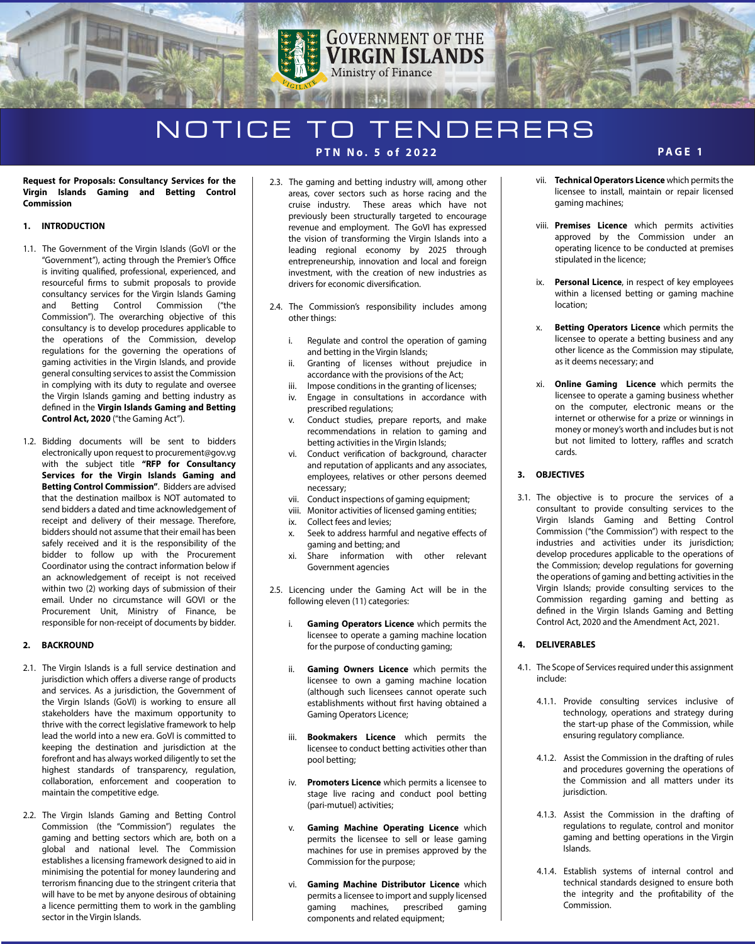# **GOVERNMENT OF THE VIRGIN ISLANDS** Ministry of Finance

## NOTICE TO TENDERERS **PTN No. 5 of 2022**

#### **Request for Proposals: Consultancy Services for the Virgin Islands Gaming and Betting Control Commission**

### **1. INTRODUCTION**

- 1.1. The Government of the Virgin Islands (GoVI or the "Government"), acting through the Premier's Office is inviting qualified, professional, experienced, and resourceful firms to submit proposals to provide consultancy services for the Virgin Islands Gaming and Betting Control Commission ("the Commission"). The overarching objective of this consultancy is to develop procedures applicable to the operations of the Commission, develop regulations for the governing the operations of gaming activities in the Virgin Islands, and provide general consulting services to assist the Commission in complying with its duty to regulate and oversee the Virgin Islands gaming and betting industry as defined in the Virgin Islands Gaming and Betting **Control Act, 2020** ("the Gaming Act").
- 1.2. Bidding documents will be sent to bidders electronically upon request to procurement@gov.vg with the subject title **"RFP for Consultancy Services for the Virgin Islands Gaming and Betting Control Commission"**. Bidders are advised that the destination mailbox is NOT automated to send bidders a dated and time acknowledgement of receipt and delivery of their message. Therefore, bidders should not assume that their email has been safely received and it is the responsibility of the bidder to follow up with the Procurement Coordinator using the contract information below if an acknowledgement of receipt is not received within two (2) working days of submission of their email. Under no circumstance will GOVI or the Procurement Unit, Ministry of Finance, be responsible for non-receipt of documents by bidder.

### **2. BACKROUND**

- 2.1. The Virgin Islands is a full service destination and jurisdiction which offers a diverse range of products and services. As a jurisdiction, the Government of the Virgin Islands (GoVI) is working to ensure all stakeholders have the maximum opportunity to thrive with the correct legislative framework to help lead the world into a new era. GoVI is committed to keeping the destination and jurisdiction at the forefront and has always worked diligently to set the highest standards of transparency, regulation, collaboration, enforcement and cooperation to maintain the competitive edge.
- 2.2. The Virgin Islands Gaming and Betting Control Commission (the "Commission") regulates the gaming and betting sectors which are, both on a global and national level. The Commission establishes a licensing framework designed to aid in minimising the potential for money laundering and terrorism financing due to the stringent criteria that will have to be met by anyone desirous of obtaining a licence permitting them to work in the gambling sector in the Virgin Islands.
- 2.3. The gaming and betting industry will, among other areas, cover sectors such as horse racing and the cruise industry. These areas which have not previously been structurally targeted to encourage revenue and employment. The GoVI has expressed the vision of transforming the Virgin Islands into a leading regional economy by 2025 through entrepreneurship, innovation and local and foreign investment, with the creation of new industries as drivers for economic diversification.
- 2.4. The Commission's responsibility includes among other things:
	- i. Regulate and control the operation of gaming and betting in the Virgin Islands;
	- ii. Granting of licenses without prejudice in accordance with the provisions of the Act;
	- iii. Impose conditions in the granting of licenses;
	- iv. Engage in consultations in accordance with prescribed regulations;
	- v. Conduct studies, prepare reports, and make recommendations in relation to gaming and betting activities in the Virgin Islands;
	- vi. Conduct verification of background, character and reputation of applicants and any associates, employees, relatives or other persons deemed necessary;
	- vii. Conduct inspections of gaming equipment;
	- viii. Monitor activities of licensed gaming entities;
	- ix. Collect fees and levies;
	- x. Seek to address harmful and negative effects of gaming and betting; and
	- xi. Share information with other relevant Government agencies
- 2.5. Licencing under the Gaming Act will be in the following eleven (11) categories:
	- i. **Gaming Operators Licence** which permits the licensee to operate a gaming machine location for the purpose of conducting gaming;
	- ii. **Gaming Owners Licence** which permits the licensee to own a gaming machine location (although such licensees cannot operate such establishments without first having obtained a Gaming Operators Licence;
	- iii. **Bookmakers Licence** which permits the licensee to conduct betting activities other than pool betting;
	- iv. **Promoters Licence** which permits a licensee to stage live racing and conduct pool betting (pari-mutuel) activities;
	- **Gaming Machine Operating Licence which** permits the licensee to sell or lease gaming machines for use in premises approved by the Commission for the purpose;
	- vi. **Gaming Machine Distributor Licence** which permits a licensee to import and supply licensed gaming machines, prescribed gaming components and related equipment;

vii. **Technical Operators Licence** which permits the licensee to install, maintain or repair licensed gaming machines;

**PAGE 1**

- viii. **Premises Licence** which permits activities approved by the Commission under an operating licence to be conducted at premises stipulated in the licence;
- ix. **Personal Licence**, in respect of key employees within a licensed betting or gaming machine location;
- x. **Betting Operators Licence** which permits the licensee to operate a betting business and any other licence as the Commission may stipulate, as it deems necessary; and
- xi. **Online Gaming Licence** which permits the licensee to operate a gaming business whether on the computer, electronic means or the internet or otherwise for a prize or winnings in money or money's worth and includes but is not but not limited to lottery, raffles and scratch cards.

### **3. OBJECTIVES**

3.1. The objective is to procure the services of a consultant to provide consulting services to the Virgin Islands Gaming and Betting Control Commission ("the Commission") with respect to the industries and activities under its jurisdiction; develop procedures applicable to the operations of the Commission; develop regulations for governing the operations of gaming and betting activities in the Virgin Islands; provide consulting services to the Commission regarding gaming and betting as defined in the Virgin Islands Gaming and Betting Control Act, 2020 and the Amendment Act, 2021.

### **4. DELIVERABLES**

- 4.1. The Scope of Services required under this assignment include:
	- 4.1.1. Provide consulting services inclusive of technology, operations and strategy during the start-up phase of the Commission, while ensuring regulatory compliance.
	- 4.1.2. Assist the Commission in the drafting of rules and procedures governing the operations of the Commission and all matters under its jurisdiction.
	- 4.1.3. Assist the Commission in the drafting of regulations to regulate, control and monitor gaming and betting operations in the Virgin Islands.
	- 4.1.4. Establish systems of internal control and technical standards designed to ensure both the integrity and the profitability of the Commission.